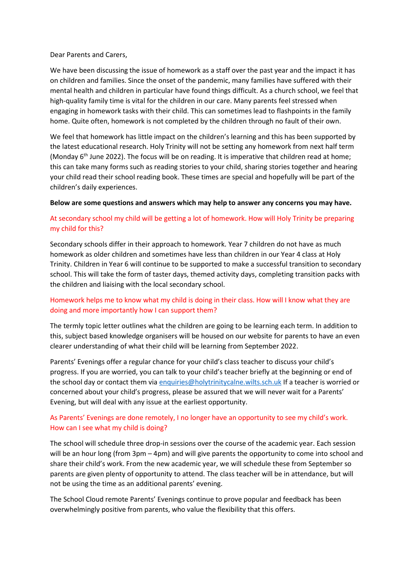Dear Parents and Carers,

We have been discussing the issue of homework as a staff over the past year and the impact it has on children and families. Since the onset of the pandemic, many families have suffered with their mental health and children in particular have found things difficult. As a church school, we feel that high-quality family time is vital for the children in our care. Many parents feel stressed when engaging in homework tasks with their child. This can sometimes lead to flashpoints in the family home. Quite often, homework is not completed by the children through no fault of their own.

We feel that homework has little impact on the children's learning and this has been supported by the latest educational research. Holy Trinity will not be setting any homework from next half term (Monday  $6<sup>th</sup>$  June 2022). The focus will be on reading. It is imperative that children read at home; this can take many forms such as reading stories to your child, sharing stories together and hearing your child read their school reading book. These times are special and hopefully will be part of the children's daily experiences.

#### **Below are some questions and answers which may help to answer any concerns you may have.**

# At secondary school my child will be getting a lot of homework. How will Holy Trinity be preparing my child for this?

Secondary schools differ in their approach to homework. Year 7 children do not have as much homework as older children and sometimes have less than children in our Year 4 class at Holy Trinity. Children in Year 6 will continue to be supported to make a successful transition to secondary school. This will take the form of taster days, themed activity days, completing transition packs with the children and liaising with the local secondary school.

### Homework helps me to know what my child is doing in their class. How will I know what they are doing and more importantly how I can support them?

The termly topic letter outlines what the children are going to be learning each term. In addition to this, subject based knowledge organisers will be housed on our website for parents to have an even clearer understanding of what their child will be learning from September 2022.

Parents' Evenings offer a regular chance for your child's class teacher to discuss your child's progress. If you are worried, you can talk to your child's teacher briefly at the beginning or end of the school day or contact them via [enquiries@holytrinitycalne.wilts.sch.uk](mailto:enquiries@holytrinitycalne.wilts.sch.uk) If a teacher is worried or concerned about your child's progress, please be assured that we will never wait for a Parents' Evening, but will deal with any issue at the earliest opportunity.

# As Parents' Evenings are done remotely, I no longer have an opportunity to see my child's work. How can I see what my child is doing?

The school will schedule three drop-in sessions over the course of the academic year. Each session will be an hour long (from 3pm – 4pm) and will give parents the opportunity to come into school and share their child's work. From the new academic year, we will schedule these from September so parents are given plenty of opportunity to attend. The class teacher will be in attendance, but will not be using the time as an additional parents' evening.

The School Cloud remote Parents' Evenings continue to prove popular and feedback has been overwhelmingly positive from parents, who value the flexibility that this offers.